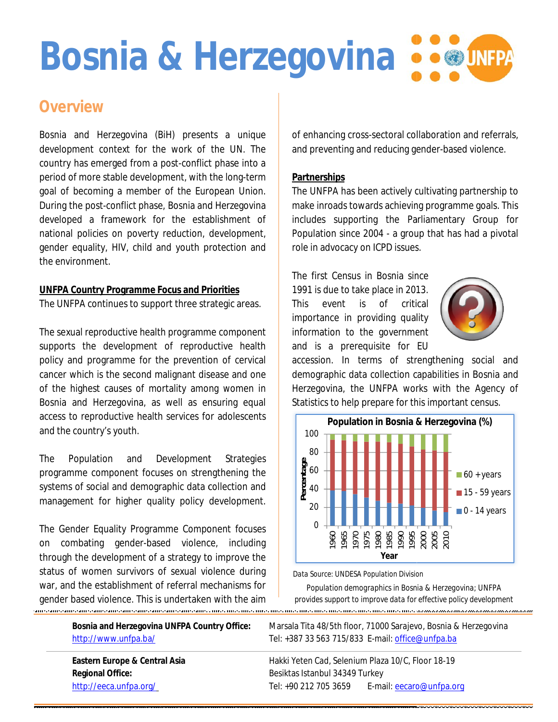# **Bosnia & Herzegovina &**

### **Overview**

Bosnia and Herzegovina (BiH) presents a unique development context for the work of the UN. The country has emerged from a post-conflict phase into a development context for the work of the UN. The<br>country has emerged from a post-conflict phase into a<br>period of more stable development, with the long-term goal of becoming a member of the European Union. During the post-conflict phase, Bosnia and Herzegovina developed a framework for the establishment of national policies on poverty reduction, development, gender equality, HIV, child and youth protection and the environment. goal of becoming a member of the European Union.<br>During the post-conflict phase, Bosnia and Herzegovina<br>developed a framework for the establishment of<br>national policies on poverty reduction, development,<br>gender equality, H

#### **UNFPA Country Programme Focus and Priorities Priorities** The UNFPA continues to support three strategic areas.

The sexual reproductive health programme component supports the development of reproductive health policy and programme for the prevention of cervical cancer which is the second malignant disease and one of the highest causes of mortality among women in Bosnia and Herzegovina, as well as ensuring equal access to reproductive health services for adolescents and the country's youth. The UNFPA continues to support three strategic areas.<br>The sexual reproductive health programme component<br>supports the development of reproductive health<br>policy and programme for the prevention of cervical<br>cancer which is t

The Population and Development Strategies programme component focuses on streng systems of social and demographic data collection and systems of social and demographic data collection and<br>management for higher quality policy development.

The Gender Equality Programme Component focuses Gender Programme based violence, including on combating gender-based violence through the development of a strategy to improve the status of women survivors of sexual violence during war, and the establishment of referral mechanisms for gender based violence. This is undertaken with the aim through the development of a strategy to improve<br>status of women survivors of sexual violence dui<br>war, and the establishment of referral mechanisms

of enhancing cross-sectoral collaboration and referrals, and preventing and reducing gender-based violence.

#### **Partnerships**

The UNFPA has been actively cultivating partnership to make inroads towards achieving programme goals. This includes supporting the Parliamentary Group for Population since 2004 - a group that has had a pivotal role in advocacy on ICPD issues. make inroads towards achieving programme goals. This<br>includes supporting the Parliamentary Group for<br>Population since 2004 - a group that has had a pivotal<br>role in advocacy on ICPD issues.<br>The first Census in Bosnia since<br>

The first Census in Bosnia since 1991 is due to take place in 2013. This event is of critical importance in providing quality importance information to the government information to and is a prerequisite for EU



accession. In terms of strengthening social and demographic data collection capabilities in Bosnia and Herzegovina, the UNFPA works with the Agency of Statistics to help prepare for this important census.



*Data Source: UNDESA Population Division*

Data Source: UNDESA Population Division<br>Population demographics in Bosnia & Herzegovin<br>provides support to improve data for effective policy *Population demographics in Bosnia & Herzegovina; UNFPA provides support to improve data for effective policy development* .........

**Bosnia and Herzegovina UNFPA Country Office:** http://www.unfpa.ba/

 Marsala Tita 48/5th floor, 71000 Sarajevo Sarajevo, Bosnia & Herzegovina Tel: +387 33 563 715/833 E-mail: office@unfpa.ba

**Eastern Europe & Central Asia Regional Office:** http://eeca.unfpa.org/

Hakki Yeten Cad, Selenium Plaza 10/C, Floor 18 Selenium Plaza 18-19 Besiktas Istanbul 34349 Turkey Tel: +90 212 705 3659 E-mail: eecaro@unfpa.org eecaro@unfpa.org<br>
eecaro@unfpa.org<br>
eecaro@unfpa.org<br>
eecaro@unfpa.org<br>
eecaro@unfpa.org<br>
eecaro@unfpa.org<br>
eecaro@unfpa.org